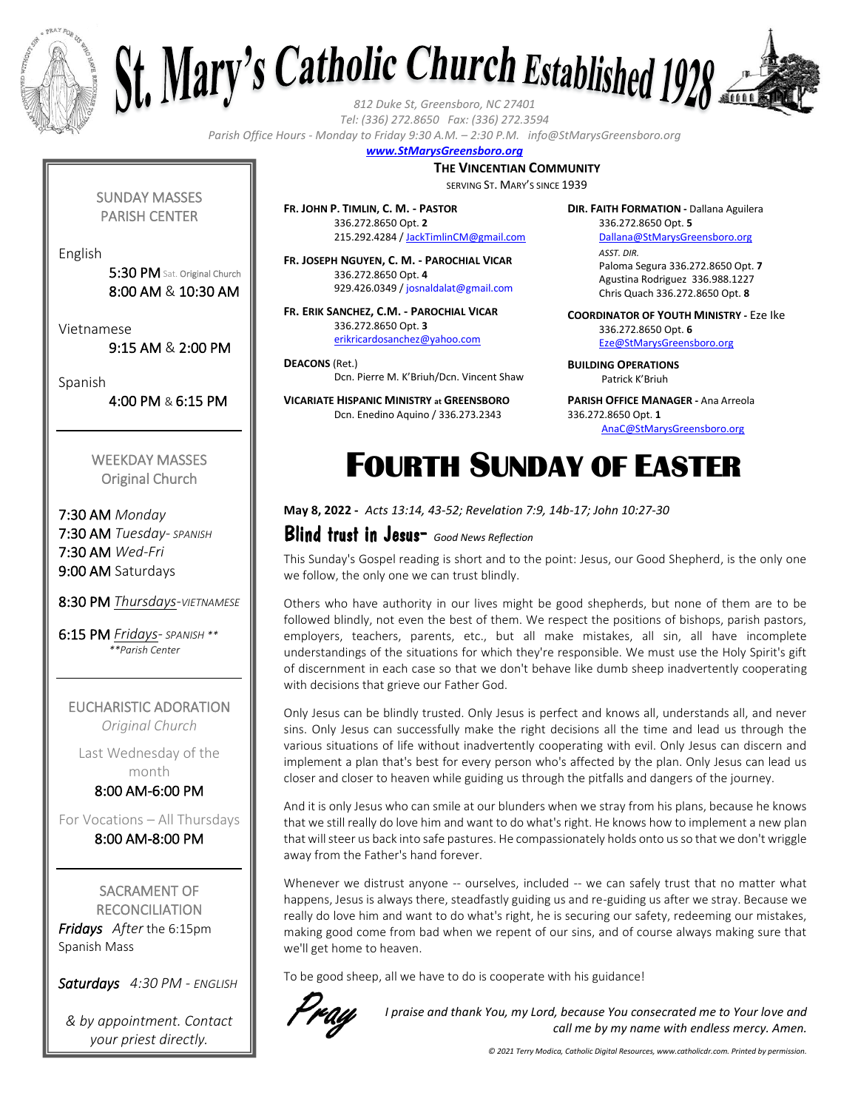



*Tel: (336) 272.8650 Fax: (336) 272.3594*

*Parish Office Hours - Monday to Friday 9:30 A.M. – 2:30 P.M. info@StMarysGreensboro.org*

#### *www.StMarysGreensboro.org*

**THE VINCENTIAN COMMUNITY**

SERVING ST. MARY'S SINCE 1939

**FR. JOHN P. TIMLIN, C. M. - PASTOR** 336.272.8650 Opt. **2** 215.292.4284 / JackTimlinCM@gmail.com

**FR. JOSEPH NGUYEN, C. M. - PAROCHIAL VICAR** 336.272.8650 Opt. **4** 929.426.0349 / josnaldalat@gmail.com

**FR. ERIK SANCHEZ, C.M. - PAROCHIAL VICAR** 336.272.8650 Opt. **3** erikricardosanchez@yahoo.com

**DEACONS** (Ret.) Dcn. Pierre M. K'Briuh/Dcn. Vincent Shaw

**VICARIATE HISPANIC MINISTRY at GREENSBORO** Dcn. Enedino Aquino / 336.273.2343

**DIR. FAITH FORMATION -** Dallana Aguilera 336.272.8650 Opt. **5** Dallana@StMarysGreensboro.org *ASST. DIR.* Paloma Segura 336.272.8650 Opt. **7**

Agustina Rodriguez 336.988.1227 Chris Quach 336.272.8650 Opt. **8**

**COORDINATOR OF YOUTH MINISTRY -** Eze Ike 336.272.8650 Opt. **6** Eze@StMarysGreensboro.org

**BUILDING OPERATIONS**  Patrick K'Briuh

**PARISH OFFICE MANAGER -** Ana Arreola 336.272.8650 Opt. **1** AnaC@StMarysGreensboro.org

# FOURTH SUNDAY OF EASTER

**May 8, 2022 -** *Acts 13:14, 43-52; Revelation 7:9, 14b-17; John 10:27-30*

#### Blind trust in Jesus- *Good News Reflection*

This Sunday's Gospel reading is short and to the point: Jesus, our Good Shepherd, is the only one we follow, the only one we can trust blindly.

Others who have authority in our lives might be good shepherds, but none of them are to be followed blindly, not even the best of them. We respect the positions of bishops, parish pastors, employers, teachers, parents, etc., but all make mistakes, all sin, all have incomplete understandings of the situations for which they're responsible. We must use the Holy Spirit's gift of discernment in each case so that we don't behave like dumb sheep inadvertently cooperating with decisions that grieve our Father God.

Only Jesus can be blindly trusted. Only Jesus is perfect and knows all, understands all, and never sins. Only Jesus can successfully make the right decisions all the time and lead us through the various situations of life without inadvertently cooperating with evil. Only Jesus can discern and implement a plan that's best for every person who's affected by the plan. Only Jesus can lead us closer and closer to heaven while guiding us through the pitfalls and dangers of the journey.

And it is only Jesus who can smile at our blunders when we stray from his plans, because he knows that we still really do love him and want to do what's right. He knows how to implement a new plan that will steer us back into safe pastures. He compassionately holds onto us so that we don't wriggle away from the Father's hand forever.

Whenever we distrust anyone -- ourselves, included -- we can safely trust that no matter what happens, Jesus is always there, steadfastly guiding us and re-guiding us after we stray. Because we really do love him and want to do what's right, he is securing our safety, redeeming our mistakes, making good come from bad when we repent of our sins, and of course always making sure that we'll get home to heaven.

To be good sheep, all we have to do is cooperate with his guidance!



*I praise and thank You, my Lord, because You consecrated me to Your love and call me by my name with endless mercy. Amen.*

SUNDAY MASSES PARISH CENTER

English

5:30 PM Sat. Original Church 8:00 AM & 10:30 AM

Vietnamese

9:15 AM & 2:00 PM

Spanish

4:00 PM & 6:15 PM

WEEKDAY MASSES Original Church

7:30 AM *Monday* 7:30 AM *Tuesday- SPANISH* 7:30 AM *Wed-Fri* 9:00 AM Saturdays

8:30 PM *Thursdays-VIETNAMESE*

6:15 PM *Fridays- SPANISH \*\* \*\*Parish Center*

EUCHARISTIC ADORATION *Original Church*

Last Wednesday of the month

8:00 AM-6:00 PM

For Vocations – All Thursdays 8:00 AM-8:00 PM

SACRAMENT OF **RECONCILIATION** *Fridays After* the 6:15pm Spanish Mass

*Saturdays 4:30 PM - ENGLISH*

*& by appointment. Contact your priest directly.*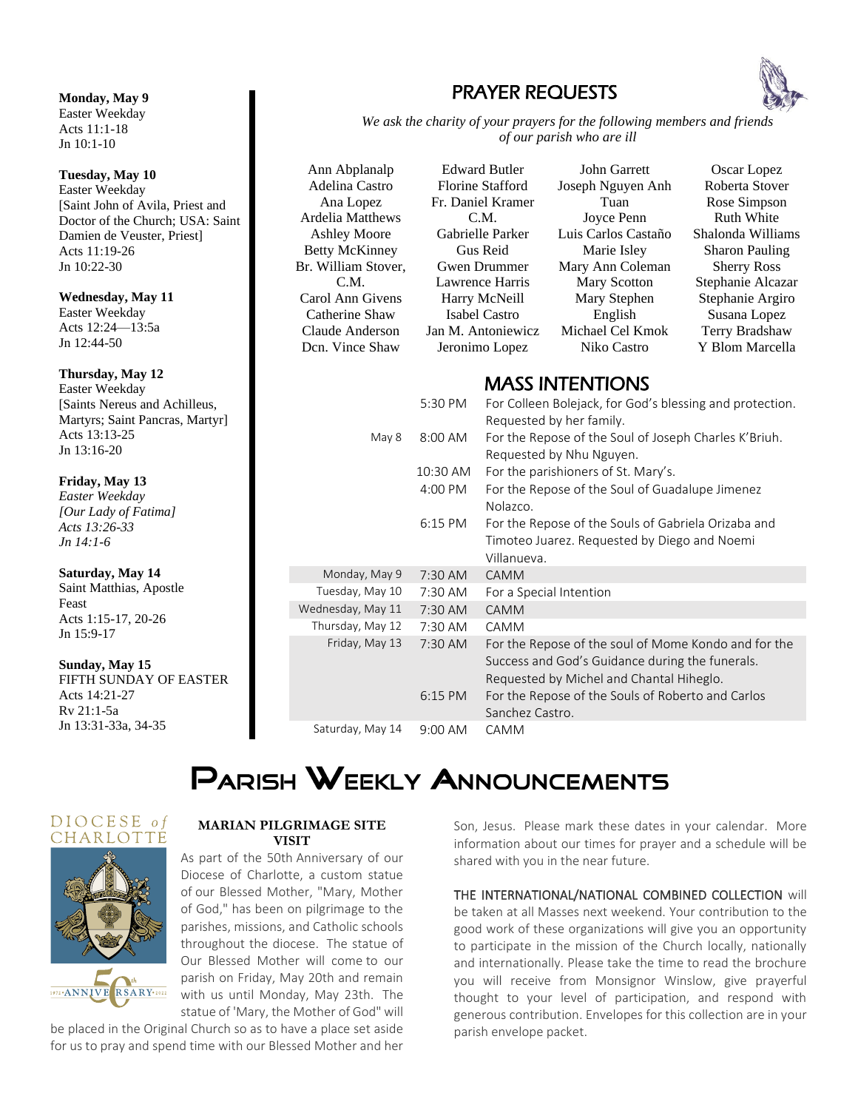#### **Monday, May 9**

Easter Weekday Acts 11:1-18 Jn 10:1-10

#### **Tuesday, May 10**

Easter Weekday [Saint John of Avila, Priest and Doctor of the Church; USA: Saint Damien de Veuster, Priest] Acts 11:19-26 Jn 10:22-30

**Wednesday, May 11** Easter Weekday Acts 12:24—13:5a Jn 12:44-50

#### **Thursday, May 12**

Easter Weekday [Saints Nereus and Achilleus, Martyrs; Saint Pancras, Martyr] Acts 13:13-25 Jn 13:16-20

#### **Friday, May 13**

*Easter Weekday [Our Lady of Fatima] Acts 13:26-33 Jn 14:1-6*

#### **Saturday, May 14**

Saint Matthias, Apostle Feast Acts 1:15-17, 20-26 Jn 15:9-17

#### **Sunday, May 15**

FIFTH SUNDAY OF EASTER Acts 14:21-27 Rv 21:1-5a Jn 13:31-33a, 34-35

### PRAYER REQUESTS



*We ask the charity of your prayers for the following members and friends of our parish who are ill*

Ann Abplanalp Adelina Castro Ana Lopez Ardelia Matthews Ashley Moore Betty McKinney Br. William Stover, C.M. Carol Ann Givens Catherine Shaw Claude Anderson Dcn. Vince Shaw

Edward Butler Florine Stafford Fr. Daniel Kramer C.M. Gabrielle Parker Gus Reid Gwen Drummer Lawrence Harris Harry McNeill Isabel Castro Jan M. Antoniewicz Jeronimo Lopez

John Garrett Joseph Nguyen Anh Tuan Joyce Penn Luis Carlos Castaño Marie Isley Mary Ann Coleman Mary Scotton Mary Stephen English Michael Cel Kmok Niko Castro

Oscar Lopez Roberta Stover Rose Simpson Ruth White Shalonda Williams Sharon Pauling Sherry Ross Stephanie Alcazar Stephanie Argiro Susana Lopez Terry Bradshaw Y Blom Marcella

### MASS INTENTIONS

|                   | 5:30 PM   | For Colleen Bolejack, for God's blessing and protection.<br>Requested by her family.                                                                |
|-------------------|-----------|-----------------------------------------------------------------------------------------------------------------------------------------------------|
| May 8             | 8:00 AM   | For the Repose of the Soul of Joseph Charles K'Briuh.<br>Requested by Nhu Nguyen.                                                                   |
|                   | 10:30 AM  | For the parishioners of St. Mary's.                                                                                                                 |
|                   | 4:00 PM   | For the Repose of the Soul of Guadalupe Jimenez<br>Nolazco.                                                                                         |
|                   | 6:15 PM   | For the Repose of the Souls of Gabriela Orizaba and<br>Timoteo Juarez. Requested by Diego and Noemi<br>Villanueva.                                  |
| Monday, May 9     | $7:30$ AM | CAMM                                                                                                                                                |
| Tuesday, May 10   | 7:30 AM   | For a Special Intention                                                                                                                             |
| Wednesday, May 11 | 7:30 AM   | <b>CAMM</b>                                                                                                                                         |
| Thursday, May 12  | 7:30 AM   | CAMM                                                                                                                                                |
| Friday, May 13    | 7:30 AM   | For the Repose of the soul of Mome Kondo and for the<br>Success and God's Guidance during the funerals.<br>Requested by Michel and Chantal Hiheglo. |
|                   | $6:15$ PM | For the Repose of the Souls of Roberto and Carlos<br>Sanchez Castro.                                                                                |
| Saturday, May 14  | $9:00$ AM | <b>CAMM</b>                                                                                                                                         |

# **PARISH WEEKLY ANNOUNCEMENTS**





#### **MARIAN PILGRIMAGE SITE VISIT**

As part of the 50th Anniversary of our Diocese of Charlotte, a custom statue of our Blessed Mother, "Mary, Mother of God," has been on pilgrimage to the parishes, missions, and Catholic schools throughout the diocese. The statue of Our Blessed Mother will come to our parish on Friday, May 20th and remain with us until Monday, May 23th. The statue of 'Mary, the Mother of God" will

be placed in the Original Church so as to have a place set aside for us to pray and spend time with our Blessed Mother and her Son, Jesus. Please mark these dates in your calendar. More information about our times for prayer and a schedule will be shared with you in the near future.

THE INTERNATIONAL/NATIONAL COMBINED COLLECTION will

be taken at all Masses next weekend. Your contribution to the good work of these organizations will give you an opportunity to participate in the mission of the Church locally, nationally and internationally. Please take the time to read the brochure you will receive from Monsignor Winslow, give prayerful thought to your level of participation, and respond with generous contribution. Envelopes for this collection are in your parish envelope packet.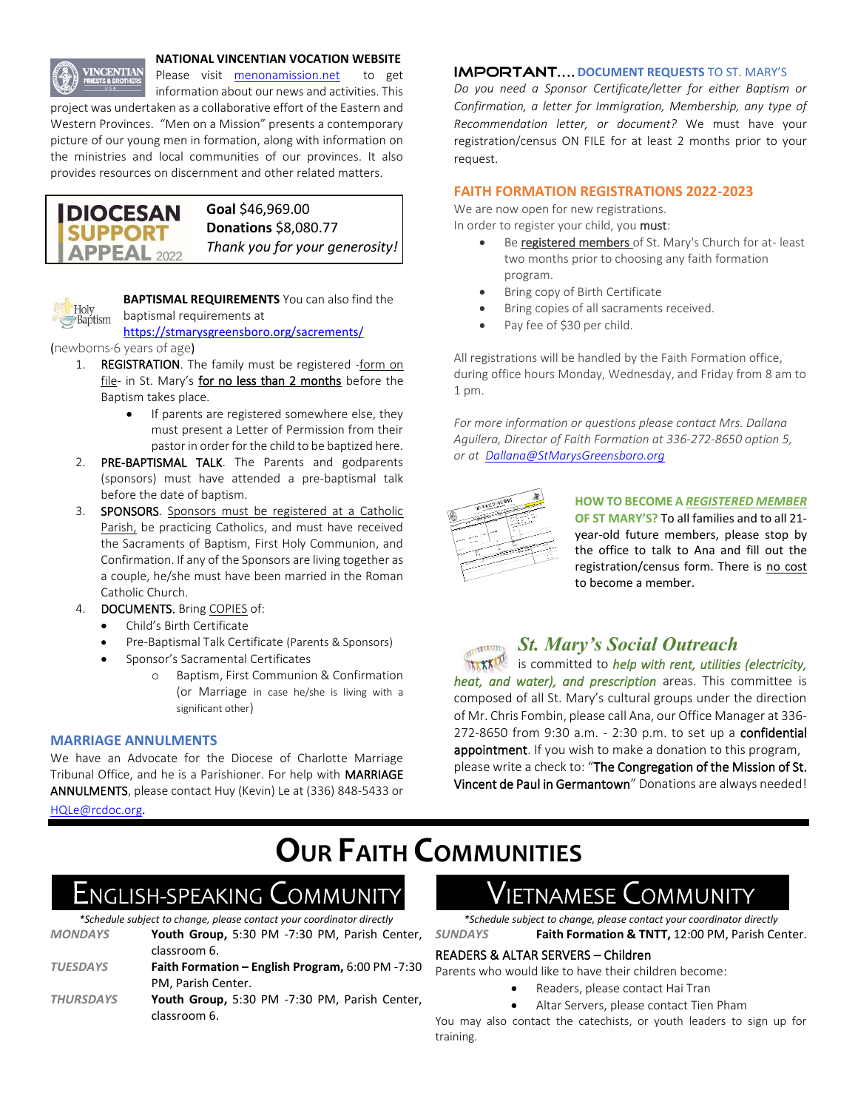

#### **NATIONAL VINCENTIAN VOCATION WEBSITE**

Please visit menonamission.net to get information about our news and activities. This

project was undertaken as a collaborative effort of the Eastern and Western Provinces. "Men on a Mission" presents a contemporary picture of our young men in formation, along with information on the ministries and local communities of our provinces. It also provides resources on discernment and other related matters.





**BAPTISMAL REQUIREMENTS** You can also find the baptismal requirements at

#### https://stmarysgreensboro.org/sacrements/

(newborns-6 years of age)

- 1. REGISTRATION. The family must be registered -form on file- in St. Mary's for no less than 2 months before the Baptism takes place.
	- If parents are registered somewhere else, they must present a Letter of Permission from their pastor in order for the child to be baptized here.
- 2. PRE-BAPTISMAL TALK. The Parents and godparents (sponsors) must have attended a pre-baptismal talk before the date of baptism.
- 3. SPONSORS. Sponsors must be registered at a Catholic Parish, be practicing Catholics, and must have received the Sacraments of Baptism, First Holy Communion, and Confirmation. If any of the Sponsors are living together as a couple, he/she must have been married in the Roman Catholic Church.
- 4. **DOCUMENTS.** Bring COPIES of:
	- Child's Birth Certificate
	- Pre-Baptismal Talk Certificate (Parents & Sponsors)
	- Sponsor's Sacramental Certificates
		- o Baptism, First Communion & Confirmation (or Marriage in case he/she is living with a significant other)

#### **MARRIAGE ANNULMENTS**

We have an Advocate for the Diocese of Charlotte Marriage Tribunal Office, and he is a Parishioner. For help with MARRIAGE ANNULMENTS, please contact Huy (Kevin) Le at (336) 848-5433 or

HQLe@rcdoc.org*.*

#### **IMPORTANT.... DOCUMENT REQUESTS TO ST. MARY'S**

*Do you need a Sponsor Certificate/letter for either Baptism or Confirmation, a letter for Immigration, Membership, any type of Recommendation letter, or document?* We must have your registration/census ON FILE for at least 2 months prior to your request.

#### **FAITH FORMATION REGISTRATIONS 2022-2023**

We are now open for new registrations. In order to register your child, you must:

- Be registered members of St. Mary's Church for at- least two months prior to choosing any faith formation program.
- Bring copy of Birth Certificate
- Bring copies of all sacraments received.
- Pay fee of \$30 per child.

All registrations will be handled by the Faith Formation office, during office hours Monday, Wednesday, and Friday from 8 am to 1 pm.

*For more information or questions please contact Mrs. Dallana Aguilera, Director of Faith Formation at 336-272-8650 option 5, or at Dallana@StMarysGreensboro.org*

|         | W. WHITERALL WALK |                                      | $\mathbf{v}^{\mathrm{opt}}$<br>$\mathcal{M}^{\mathcal{L}}$ |  |
|---------|-------------------|--------------------------------------|------------------------------------------------------------|--|
| w<br>÷  |                   | ÷<br><b>PETT</b><br>$\sim$<br>$\sim$ | شتر بن بر<br>مناسبته                                       |  |
| المسموح | ÷<br>an t         | ×<br>o<br>s<br>ω                     |                                                            |  |
|         | ×<br>۴<br>×.      |                                      | ٠                                                          |  |
|         |                   |                                      |                                                            |  |
|         |                   |                                      |                                                            |  |

**HOW TO BECOME A** *REGISTERED MEMBER* **OF ST MARY'S?** To all families and to all 21 year-old future members, please stop by the office to talk to Ana and fill out the registration/census form. There is no cost to become a member.



### *St. Mary's Social Outreach*

*INCON* is committed to *help with rent, utilities (electricity, heat, and water), and prescription* areas. This committee is composed of all St. Mary's cultural groups under the direction of Mr. Chris Fombin, please call Ana, our Office Manager at 336- 272-8650 from 9:30 a.m. - 2:30 p.m. to set up a confidential appointment. If you wish to make a donation to this program, please write a check to: "The Congregation of the Mission of St. Vincent de Paul in Germantown" Donations are always needed!

# **OUR FAITH COMMUNITIES**

## English-speaking Communit

*\*Schedule subject to change, please contact your coordinator directly*

*MONDAYS* **Youth Group,** 5:30 PM -7:30 PM, Parish Center, classroom 6. *TUESDAYS* **Faith Formation – English Program,** 6:00 PM -7:30 PM, Parish Center. *THURSDAYS* **Youth Group,** 5:30 PM -7:30 PM, Parish Center,

## classroom 6.

## IETNAMESE COMMUNITY

*\*Schedule subject to change, please contact your coordinator directly SUNDAYS* **Faith Formation & TNTT,** 12:00 PM, Parish Center.

#### READERS & ALTAR SERVERS – Children

Parents who would like to have their children become:

- Readers, please contact Hai Tran
- Altar Servers, please contact Tien Pham

You may also contact the catechists, or youth leaders to sign up for training.